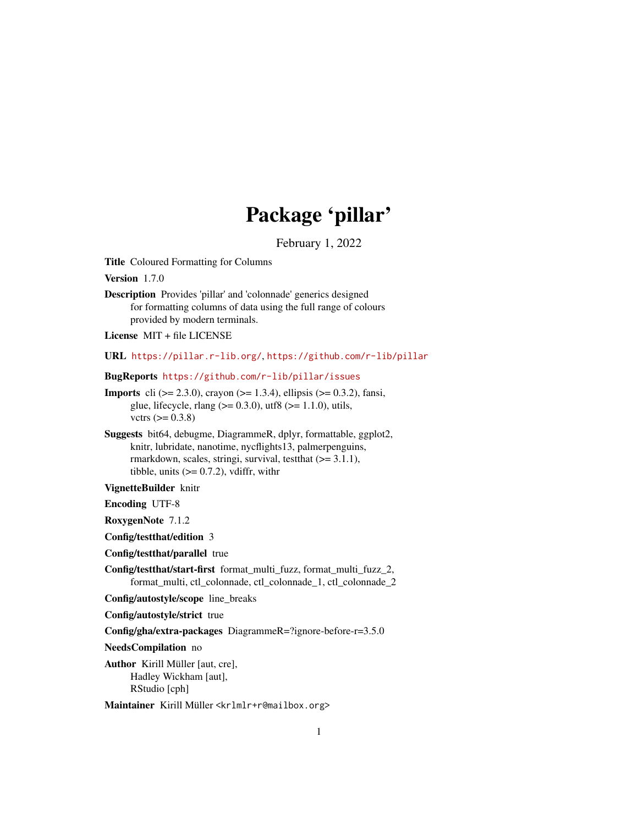## Package 'pillar'

February 1, 2022

<span id="page-0-0"></span>Title Coloured Formatting for Columns

Version 1.7.0

Description Provides 'pillar' and 'colonnade' generics designed for formatting columns of data using the full range of colours provided by modern terminals.

License MIT + file LICENSE

URL <https://pillar.r-lib.org/>, <https://github.com/r-lib/pillar>

BugReports <https://github.com/r-lib/pillar/issues>

- **Imports** cli ( $> = 2.3.0$ ), crayon ( $> = 1.3.4$ ), ellipsis ( $> = 0.3.2$ ), fansi, glue, lifecycle, rlang ( $> = 0.3.0$ ), utf8 ( $> = 1.1.0$ ), utils, vctrs  $(>= 0.3.8)$
- Suggests bit64, debugme, DiagrammeR, dplyr, formattable, ggplot2, knitr, lubridate, nanotime, nycflights13, palmerpenguins, rmarkdown, scales, stringi, survival, test that  $(>= 3.1.1)$ , tibble, units  $(>= 0.7.2)$ , vdiffr, with r

VignetteBuilder knitr

Encoding UTF-8

RoxygenNote 7.1.2

Config/testthat/edition 3

Config/testthat/parallel true

Config/testthat/start-first format\_multi\_fuzz, format\_multi\_fuzz\_2, format\_multi, ctl\_colonnade, ctl\_colonnade\_1, ctl\_colonnade\_2

Config/autostyle/scope line\_breaks

Config/autostyle/strict true

Config/gha/extra-packages DiagrammeR=?ignore-before-r=3.5.0

NeedsCompilation no

Author Kirill Müller [aut, cre], Hadley Wickham [aut], RStudio [cph]

Maintainer Kirill Müller <krlmlr+r@mailbox.org>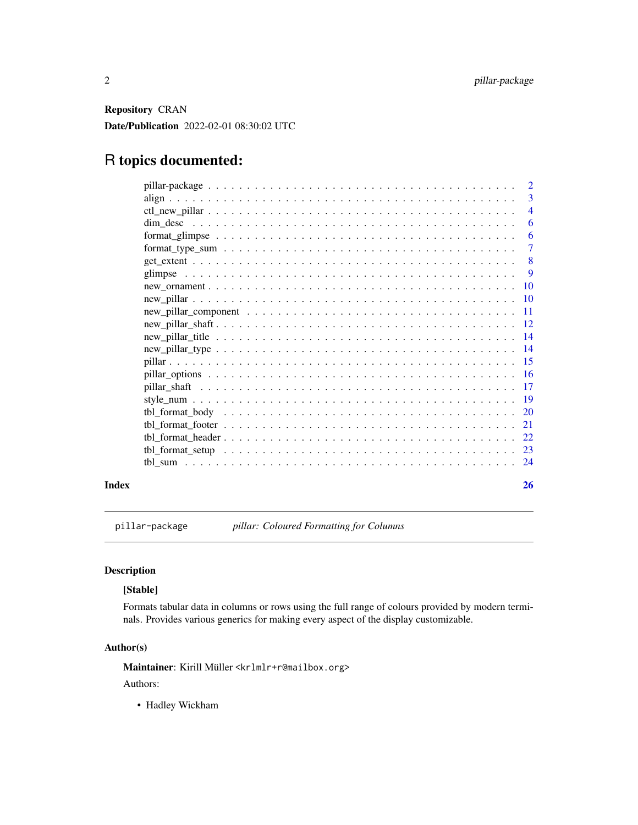<span id="page-1-0"></span>Repository CRAN Date/Publication 2022-02-01 08:30:02 UTC

### R topics documented:

|       |                                                                                                  | $\overline{2}$<br>3 |
|-------|--------------------------------------------------------------------------------------------------|---------------------|
|       |                                                                                                  | $\overline{4}$      |
|       |                                                                                                  | 6                   |
|       |                                                                                                  | - 6                 |
|       | $format\_type\_sum \ldots \ldots \ldots \ldots \ldots \ldots \ldots \ldots \ldots \ldots \ldots$ | $\tau$              |
|       |                                                                                                  | - 8                 |
|       |                                                                                                  | -9                  |
|       |                                                                                                  |                     |
|       |                                                                                                  |                     |
|       |                                                                                                  |                     |
|       |                                                                                                  |                     |
|       |                                                                                                  |                     |
|       |                                                                                                  |                     |
|       |                                                                                                  |                     |
|       |                                                                                                  |                     |
|       |                                                                                                  |                     |
|       |                                                                                                  |                     |
|       |                                                                                                  |                     |
|       |                                                                                                  |                     |
|       |                                                                                                  |                     |
|       |                                                                                                  |                     |
|       |                                                                                                  |                     |
|       |                                                                                                  |                     |
| Index |                                                                                                  | <b>26</b>           |

pillar-package *pillar: Coloured Formatting for Columns*

#### Description

#### [Stable]

Formats tabular data in columns or rows using the full range of colours provided by modern terminals. Provides various generics for making every aspect of the display customizable.

### Author(s)

Maintainer: Kirill Müller <krlmlr+r@mailbox.org>

Authors:

• Hadley Wickham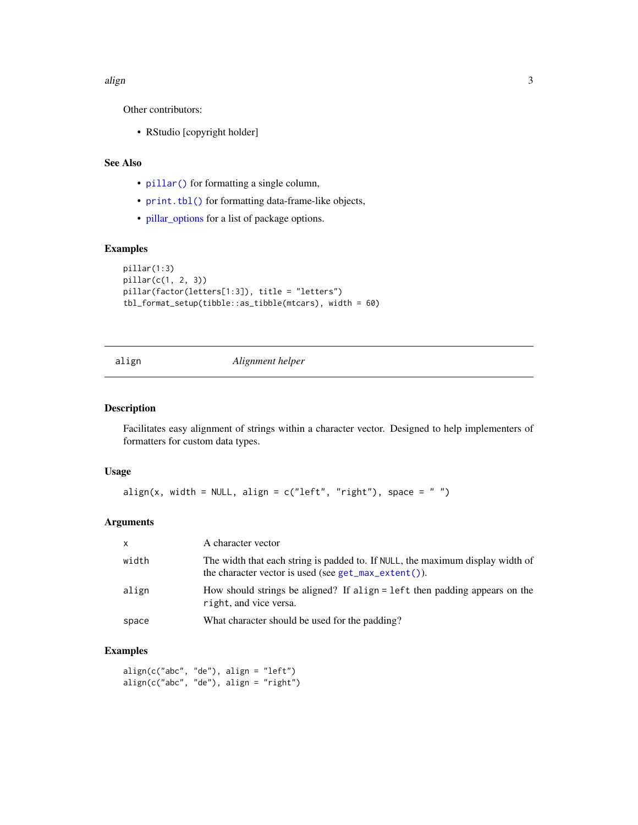#### <span id="page-2-0"></span>align 3

Other contributors:

• RStudio [copyright holder]

#### See Also

- [pillar\(\)](#page-14-1) for formatting a single column,
- [print.tbl\(\)](#page-0-0) for formatting data-frame-like objects,
- [pillar\\_options](#page-15-1) for a list of package options.

#### Examples

```
pillar(1:3)
pillar(c(1, 2, 3))
pillar(factor(letters[1:3]), title = "letters")
tbl_format_setup(tibble::as_tibble(mtcars), width = 60)
```
#### align *Alignment helper*

#### Description

Facilitates easy alignment of strings within a character vector. Designed to help implementers of formatters for custom data types.

#### Usage

```
align(x, width = NULL, align = c("left", "right"), space = "")
```
#### Arguments

| $\mathsf{x}$ | A character vector                                                                                                                         |
|--------------|--------------------------------------------------------------------------------------------------------------------------------------------|
| width        | The width that each string is padded to. If NULL, the maximum display width of<br>the character vector is used (see $get_max\_extent()$ ). |
| align        | How should strings be aligned? If align = left then padding appears on the<br>right, and vice versa.                                       |
| space        | What character should be used for the padding?                                                                                             |

#### Examples

align(c("abc", "de"), align = "left") align(c("abc", "de"), align = "right")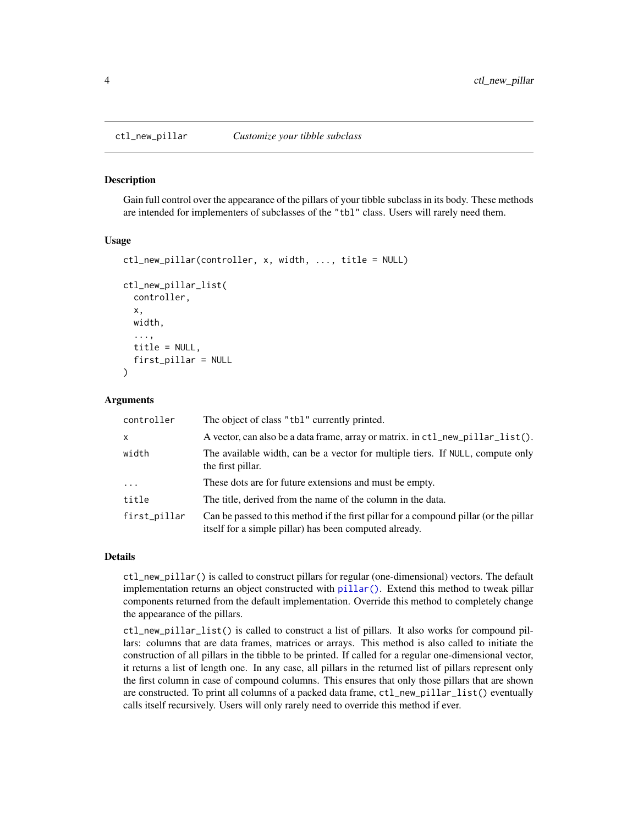#### <span id="page-3-2"></span>**Description**

Gain full control over the appearance of the pillars of your tibble subclass in its body. These methods are intended for implementers of subclasses of the "tbl" class. Users will rarely need them.

#### Usage

```
ctl_new_pillar(controller, x, width, ..., title = NULL)
ctl_new_pillar_list(
  controller,
  x,
 width,
  ...,
  title = NULL,
  first_pillar = NULL
)
```
#### Arguments

| controller   | The object of class "tbl" currently printed.                                                                                                    |
|--------------|-------------------------------------------------------------------------------------------------------------------------------------------------|
| $\mathsf{x}$ | A vector, can also be a data frame, array or matrix. in ctl_new_pillar_list().                                                                  |
| width        | The available width, can be a vector for multiple tiers. If NULL, compute only<br>the first pillar.                                             |
| .            | These dots are for future extensions and must be empty.                                                                                         |
| title        | The title, derived from the name of the column in the data.                                                                                     |
| first_pillar | Can be passed to this method if the first pillar for a compound pillar (or the pillar<br>itself for a simple pillar) has been computed already. |

#### Details

ctl\_new\_pillar() is called to construct pillars for regular (one-dimensional) vectors. The default implementation returns an object constructed with [pillar\(\)](#page-14-1). Extend this method to tweak pillar components returned from the default implementation. Override this method to completely change the appearance of the pillars.

ctl\_new\_pillar\_list() is called to construct a list of pillars. It also works for compound pillars: columns that are data frames, matrices or arrays. This method is also called to initiate the construction of all pillars in the tibble to be printed. If called for a regular one-dimensional vector, it returns a list of length one. In any case, all pillars in the returned list of pillars represent only the first column in case of compound columns. This ensures that only those pillars that are shown are constructed. To print all columns of a packed data frame, ctl\_new\_pillar\_list() eventually calls itself recursively. Users will only rarely need to override this method if ever.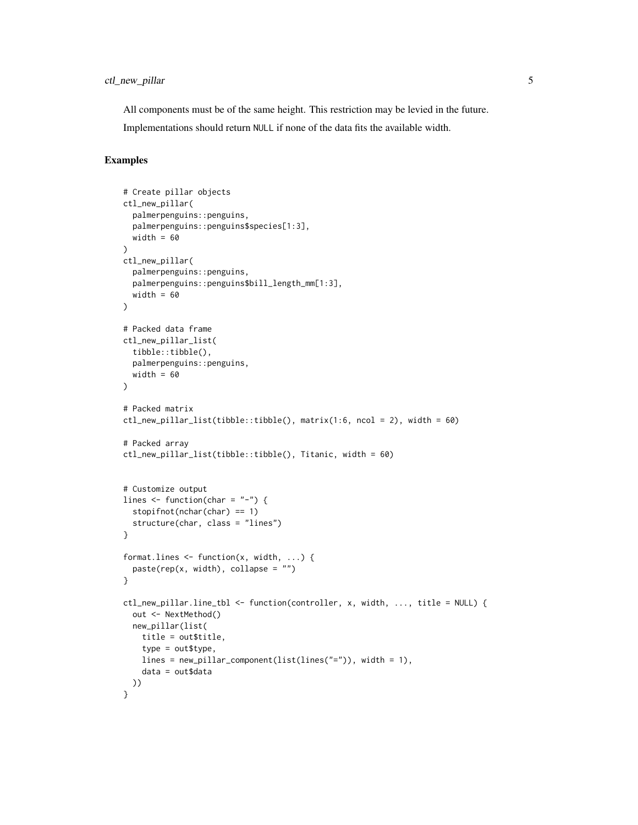All components must be of the same height. This restriction may be levied in the future.

Implementations should return NULL if none of the data fits the available width.

#### Examples

```
# Create pillar objects
ctl_new_pillar(
  palmerpenguins::penguins,
  palmerpenguins::penguins$species[1:3],
  width = 60)
ctl_new_pillar(
  palmerpenguins::penguins,
  palmerpenguins::penguins$bill_length_mm[1:3],
  width = 60\mathcal{L}# Packed data frame
ctl_new_pillar_list(
  tibble::tibble(),
  palmerpenguins::penguins,
  width = 60\lambda# Packed matrix
ctl_new_pillar_list(tibble::tibble(), matrix(1:6, ncol = 2), width = 60)
# Packed array
ctl_new_pillar_list(tibble::tibble(), Titanic, width = 60)
# Customize output
lines \leq function(char = "-") {
  stopifnot(nchar(char) == 1)
  structure(char, class = "lines")
}
format.lines <- function(x, width, ...) {
  paste(rep(x, width), collapse = "")}
ctl_new_pillar.line_tbl <- function(controller, x, width, ..., title = NULL) {
  out <- NextMethod()
  new_pillar(list(
   title = out$title,
   type = out$type,
   lines = new_pillar_component(list(lines("=")), width = 1),
    data = out$data
 ))
}
```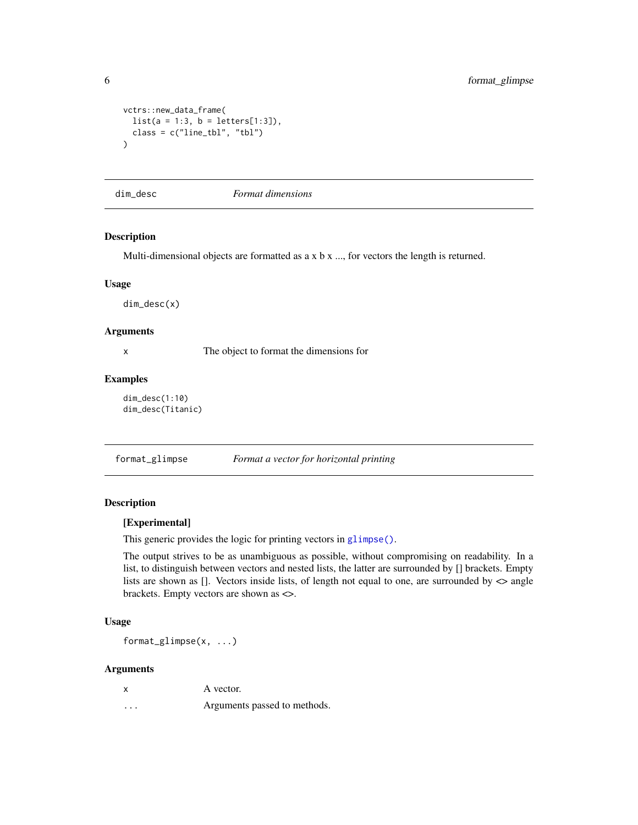```
vctrs::new_data_frame(
  list(a = 1:3, b = letters[1:3]),class = c("line_tbl", "tbl")
\mathcal{L}
```
dim\_desc *Format dimensions*

#### Description

Multi-dimensional objects are formatted as a x b x ..., for vectors the length is returned.

#### Usage

dim\_desc(x)

#### Arguments

x The object to format the dimensions for

#### Examples

```
dim_desc(1:10)
dim_desc(Titanic)
```
<span id="page-5-1"></span>format\_glimpse *Format a vector for horizontal printing*

#### Description

#### [Experimental]

This generic provides the logic for printing vectors in [glimpse\(\)](#page-8-1).

The output strives to be as unambiguous as possible, without compromising on readability. In a list, to distinguish between vectors and nested lists, the latter are surrounded by [] brackets. Empty lists are shown as []. Vectors inside lists, of length not equal to one, are surrounded by  $\langle \rangle$  angle brackets. Empty vectors are shown as <>.

#### Usage

format\_glimpse(x, ...)

|                         | A vector.                    |
|-------------------------|------------------------------|
| $\cdot$ $\cdot$ $\cdot$ | Arguments passed to methods. |

<span id="page-5-0"></span>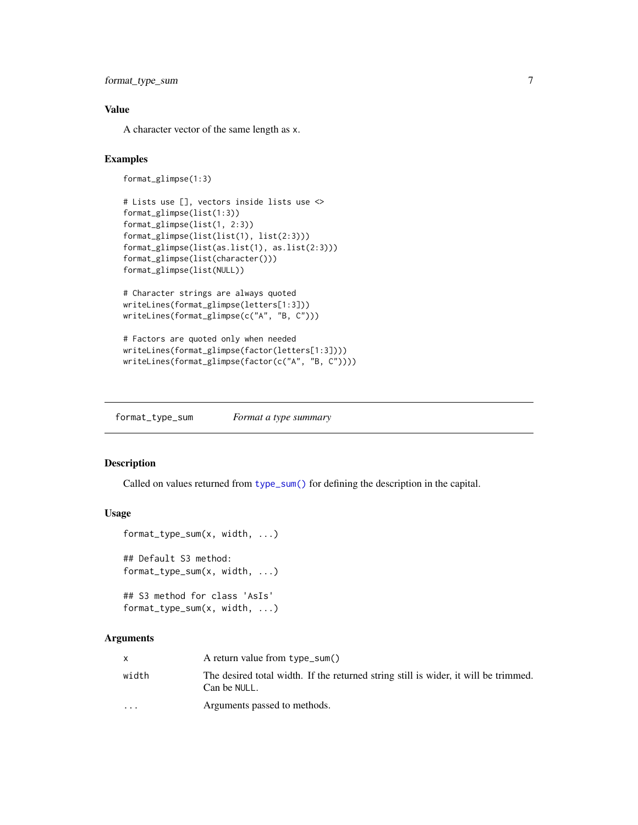```
format_type_sum 7
```
#### Value

A character vector of the same length as x.

#### Examples

```
format_glimpse(1:3)
```

```
# Lists use [], vectors inside lists use <>
format_glimpse(list(1:3))
format_glimpse(list(1, 2:3))
format_glimpse(list(list(1), list(2:3)))
format_glimpse(list(as.list(1), as.list(2:3)))
format_glimpse(list(character()))
format_glimpse(list(NULL))
```

```
# Character strings are always quoted
writeLines(format_glimpse(letters[1:3]))
writeLines(format_glimpse(c("A", "B, C")))
```

```
# Factors are quoted only when needed
writeLines(format_glimpse(factor(letters[1:3])))
writeLines(format_glimpse(factor(c("A", "B, C"))))
```
format\_type\_sum *Format a type summary*

#### Description

Called on values returned from [type\\_sum\(\)](#page-0-0) for defining the description in the capital.

#### Usage

```
format_type_sum(x, width, ...)
## Default S3 method:
format_type_sum(x, width, ...)
## S3 method for class 'AsIs'
format_type_sum(x, width, ...)
```

|                         | A return value from $type\_sum()$                                                                   |
|-------------------------|-----------------------------------------------------------------------------------------------------|
| width                   | The desired total width. If the returned string still is wider, it will be trimmed.<br>Can be NULL. |
| $\cdot$ $\cdot$ $\cdot$ | Arguments passed to methods.                                                                        |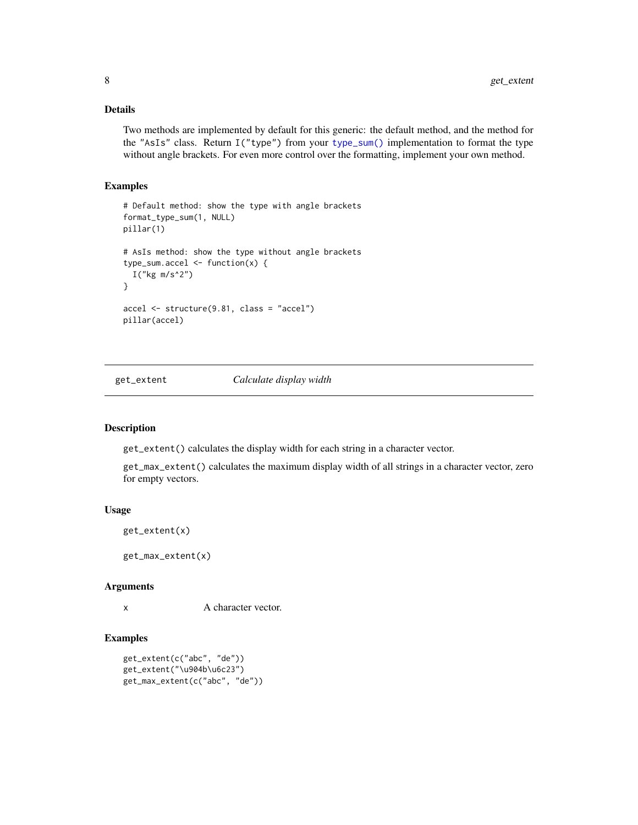#### <span id="page-7-0"></span>Details

Two methods are implemented by default for this generic: the default method, and the method for the "AsIs" class. Return I("type") from your [type\\_sum\(\)](#page-0-0) implementation to format the type without angle brackets. For even more control over the formatting, implement your own method.

#### Examples

```
# Default method: show the type with angle brackets
format_type_sum(1, NULL)
pillar(1)
# AsIs method: show the type without angle brackets
type_sum.accel <- function(x) {
 I("kg m/s^2")
}
accel <- structure(9.81, class = "accel")
pillar(accel)
```
get\_extent *Calculate display width*

#### <span id="page-7-1"></span>Description

get\_extent() calculates the display width for each string in a character vector.

get\_max\_extent() calculates the maximum display width of all strings in a character vector, zero for empty vectors.

#### Usage

```
get_extent(x)
```
get\_max\_extent(x)

#### Arguments

x A character vector.

#### Examples

```
get_extent(c("abc", "de"))
get_extent("\u904b\u6c23")
get_max_extent(c("abc", "de"))
```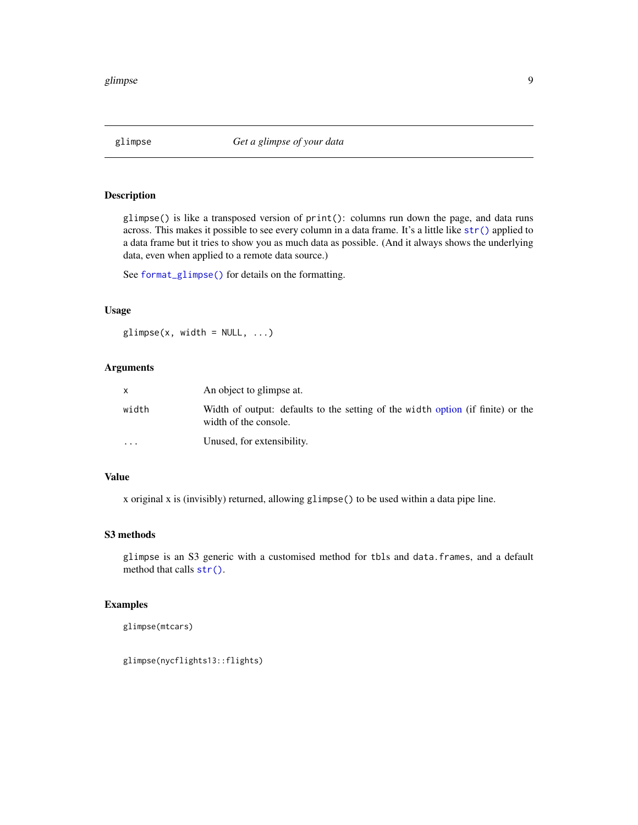<span id="page-8-1"></span><span id="page-8-0"></span>

#### Description

glimpse() is like a transposed version of print(): columns run down the page, and data runs across. This makes it possible to see every column in a data frame. It's a little like [str\(\)](#page-0-0) applied to a data frame but it tries to show you as much data as possible. (And it always shows the underlying data, even when applied to a remote data source.)

See [format\\_glimpse\(\)](#page-5-1) for details on the formatting.

#### Usage

 $glimpse(x, width = NULL, ...)$ 

#### Arguments

|         | An object to glimpse at.                                                                                 |
|---------|----------------------------------------------------------------------------------------------------------|
| width   | Width of output: defaults to the setting of the width option (if finite) or the<br>width of the console. |
| $\cdot$ | Unused, for extensibility.                                                                               |

#### Value

x original x is (invisibly) returned, allowing glimpse() to be used within a data pipe line.

#### S3 methods

glimpse is an S3 generic with a customised method for tbls and data.frames, and a default method that calls [str\(\)](#page-0-0).

#### Examples

glimpse(mtcars)

glimpse(nycflights13::flights)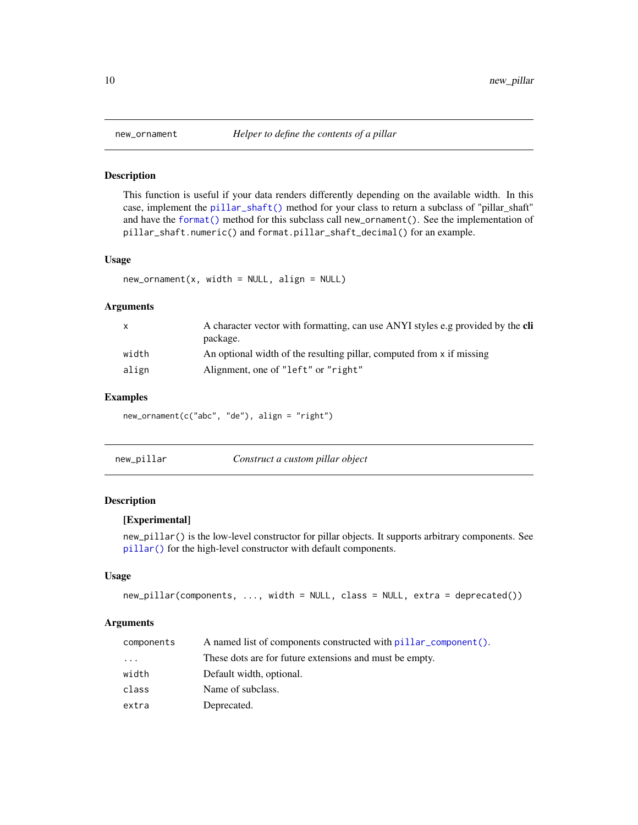<span id="page-9-0"></span>

#### Description

This function is useful if your data renders differently depending on the available width. In this case, implement the [pillar\\_shaft\(\)](#page-16-1) method for your class to return a subclass of "pillar\_shaft" and have the [format\(\)](#page-0-0) method for this subclass call new\_ornament(). See the implementation of pillar\_shaft.numeric() and format.pillar\_shaft\_decimal() for an example.

#### Usage

 $new\_ornament(x, width = NULL, align = NULL)$ 

#### Arguments

| $\mathsf{x}$ | A character vector with formatting, can use ANYI styles e.g provided by the <b>cli</b><br>package. |
|--------------|----------------------------------------------------------------------------------------------------|
| width        | An optional width of the resulting pillar, computed from x if missing                              |
| align        | Alignment, one of "left" or "right"                                                                |

#### Examples

new\_ornament(c("abc", "de"), align = "right")

| new_pillar | Construct a custom pillar object |
|------------|----------------------------------|
|------------|----------------------------------|

#### Description

#### [Experimental]

new\_pillar() is the low-level constructor for pillar objects. It supports arbitrary components. See [pillar\(\)](#page-14-1) for the high-level constructor with default components.

#### Usage

```
new_pillar(components, ..., width = NULL, class = NULL, extra = deprecated())
```

| components | A named list of components constructed with pillar component(). |
|------------|-----------------------------------------------------------------|
| .          | These dots are for future extensions and must be empty.         |
| width      | Default width, optional.                                        |
| class      | Name of subclass.                                               |
| extra      | Deprecated.                                                     |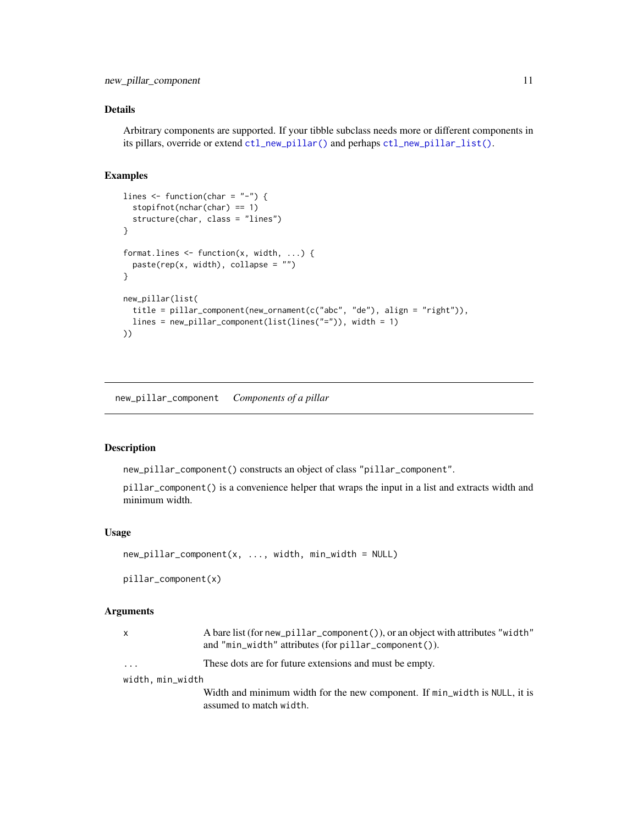#### <span id="page-10-0"></span>Details

Arbitrary components are supported. If your tibble subclass needs more or different components in its pillars, override or extend [ctl\\_new\\_pillar\(\)](#page-3-1) and perhaps [ctl\\_new\\_pillar\\_list\(\)](#page-3-2).

#### Examples

```
lines \leq function(char = "-") {
  stopifnot(nchar(char) == 1)
  structure(char, class = "lines")
}
format.lines <- function(x, width, ...) {
  paste(rep(x, width), collapse = "")}
new_pillar(list(
  title = pillar_component(new_ornament(c("abc", "de"), align = "right")),
  lines = new_pillar_component(list(lines("=")), width = 1)
))
```
new\_pillar\_component *Components of a pillar*

#### <span id="page-10-1"></span>Description

new\_pillar\_component() constructs an object of class "pillar\_component".

pillar\_component() is a convenience helper that wraps the input in a list and extracts width and minimum width.

#### Usage

```
new_pillar_component(x, ..., width, min_width = NULL)
```
pillar\_component(x)

| X                | A bare list (for new_pillar_component()), or an object with attributes "width"<br>and "min_width" attributes (for $pillar\_component()$ ). |
|------------------|--------------------------------------------------------------------------------------------------------------------------------------------|
| $\cdots$         | These dots are for future extensions and must be empty.                                                                                    |
| width, min_width |                                                                                                                                            |
|                  | Width and minimum width for the new component. If min_width is NULL, it is<br>assumed to match width.                                      |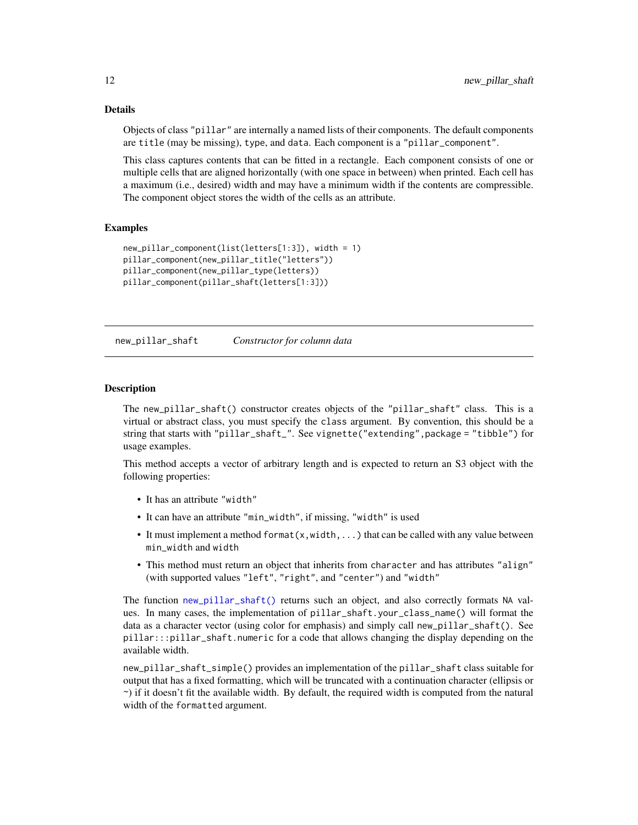#### Details

Objects of class "pillar" are internally a named lists of their components. The default components are title (may be missing), type, and data. Each component is a "pillar\_component".

This class captures contents that can be fitted in a rectangle. Each component consists of one or multiple cells that are aligned horizontally (with one space in between) when printed. Each cell has a maximum (i.e., desired) width and may have a minimum width if the contents are compressible. The component object stores the width of the cells as an attribute.

#### Examples

```
new_pillar_component(list(letters[1:3]), width = 1)
pillar_component(new_pillar_title("letters"))
pillar_component(new_pillar_type(letters))
pillar_component(pillar_shaft(letters[1:3]))
```
<span id="page-11-1"></span>new\_pillar\_shaft *Constructor for column data*

#### Description

The new\_pillar\_shaft() constructor creates objects of the "pillar\_shaft" class. This is a virtual or abstract class, you must specify the class argument. By convention, this should be a string that starts with "pillar\_shaft\_". See vignette("extending",package = "tibble") for usage examples.

This method accepts a vector of arbitrary length and is expected to return an S3 object with the following properties:

- It has an attribute "width"
- It can have an attribute "min\_width", if missing, "width" is used
- It must implement a method format $(x, width, ...)$  that can be called with any value between min\_width and width
- This method must return an object that inherits from character and has attributes "align" (with supported values "left", "right", and "center") and "width"

The function [new\\_pillar\\_shaft\(\)](#page-11-1) returns such an object, and also correctly formats NA values. In many cases, the implementation of pillar\_shaft.your\_class\_name() will format the data as a character vector (using color for emphasis) and simply call new\_pillar\_shaft(). See pillar:::pillar\_shaft.numeric for a code that allows changing the display depending on the available width.

new\_pillar\_shaft\_simple() provides an implementation of the pillar\_shaft class suitable for output that has a fixed formatting, which will be truncated with a continuation character (ellipsis or ~) if it doesn't fit the available width. By default, the required width is computed from the natural width of the formatted argument.

<span id="page-11-0"></span>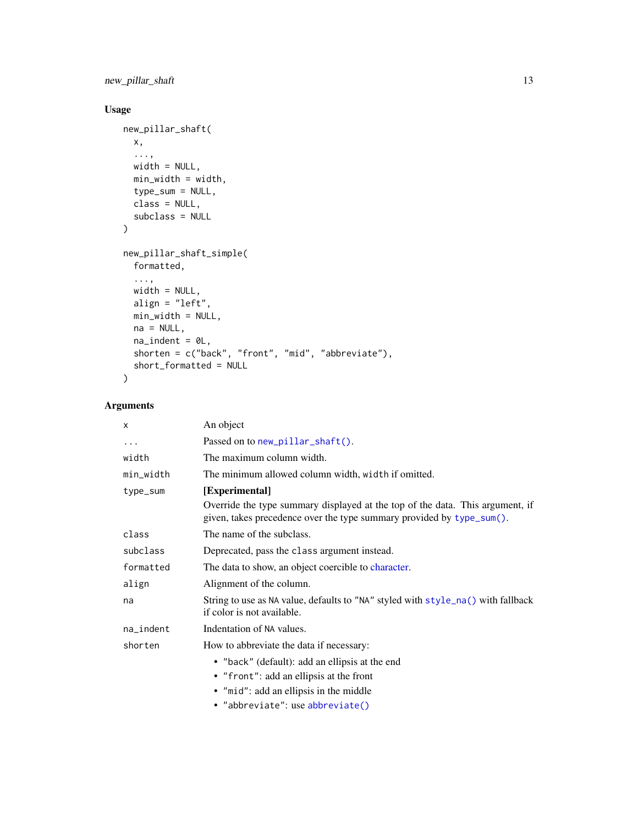<span id="page-12-0"></span>new\_pillar\_shaft 13

#### Usage

```
new_pillar_shaft(
  x,
  ...,
  width = NULL,
  min_width = width,
  type_sum = NULL,
  class = NULL,
  subclass = NULL
\mathcal{L}new_pillar_shaft_simple(
  formatted,
  ...,
  width = NULL,
  align = "left",
  min_width = NULL,
  na = NULL,na\_indent = 0L,shorten = c("back", "front", "mid", "abbreviate"),
  short_formatted = NULL
\mathcal{L}
```

| x         | An object                                                                                                                                              |
|-----------|--------------------------------------------------------------------------------------------------------------------------------------------------------|
| $\cdots$  | Passed on to new_pillar_shaft().                                                                                                                       |
| width     | The maximum column width.                                                                                                                              |
| min_width | The minimum allowed column width, width if omitted.                                                                                                    |
| type_sum  | [Experimental]                                                                                                                                         |
|           | Override the type summary displayed at the top of the data. This argument, if<br>given, takes precedence over the type summary provided by type_sum(). |
| class     | The name of the subclass.                                                                                                                              |
| subclass  | Deprecated, pass the class argument instead.                                                                                                           |
| formatted | The data to show, an object coercible to character.                                                                                                    |
| align     | Alignment of the column.                                                                                                                               |
| na        | String to use as NA value, defaults to "NA" styled with style_na() with fallback<br>if color is not available.                                         |
| na_indent | Indentation of NA values.                                                                                                                              |
| shorten   | How to abbreviate the data if necessary:                                                                                                               |
|           | • "back" (default): add an ellipsis at the end                                                                                                         |
|           | • "front": add an ellipsis at the front                                                                                                                |
|           | • "mid": add an ellipsis in the middle                                                                                                                 |
|           | • "abbreviate": use abbreviate()                                                                                                                       |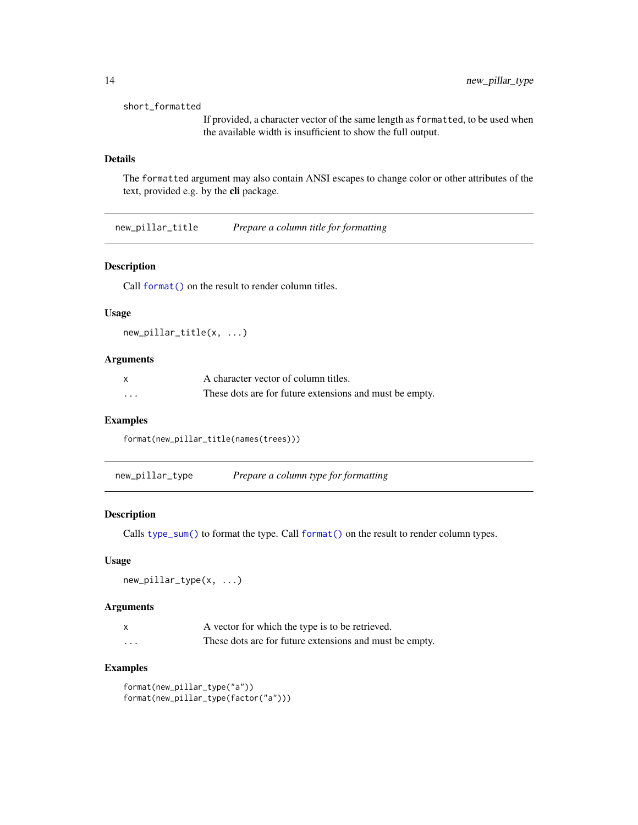#### <span id="page-13-0"></span>short\_formatted

If provided, a character vector of the same length as formatted, to be used when the available width is insufficient to show the full output.

#### Details

The formatted argument may also contain ANSI escapes to change color or other attributes of the text, provided e.g. by the cli package.

<span id="page-13-1"></span>new\_pillar\_title *Prepare a column title for formatting*

#### Description

Call [format\(\)](#page-0-0) on the result to render column titles.

#### Usage

new\_pillar\_title(x, ...)

#### Arguments

| X | A character vector of column titles.                    |
|---|---------------------------------------------------------|
| . | These dots are for future extensions and must be empty. |

#### Examples

format(new\_pillar\_title(names(trees)))

<span id="page-13-2"></span>new\_pillar\_type *Prepare a column type for formatting*

#### Description

Calls [type\\_sum\(\)](#page-0-0) to format the type. Call [format\(\)](#page-0-0) on the result to render column types.

#### Usage

new\_pillar\_type(x, ...)

#### Arguments

| $\mathsf{x}$ | A vector for which the type is to be retrieved.         |
|--------------|---------------------------------------------------------|
| .            | These dots are for future extensions and must be empty. |

#### Examples

```
format(new_pillar_type("a"))
format(new_pillar_type(factor("a")))
```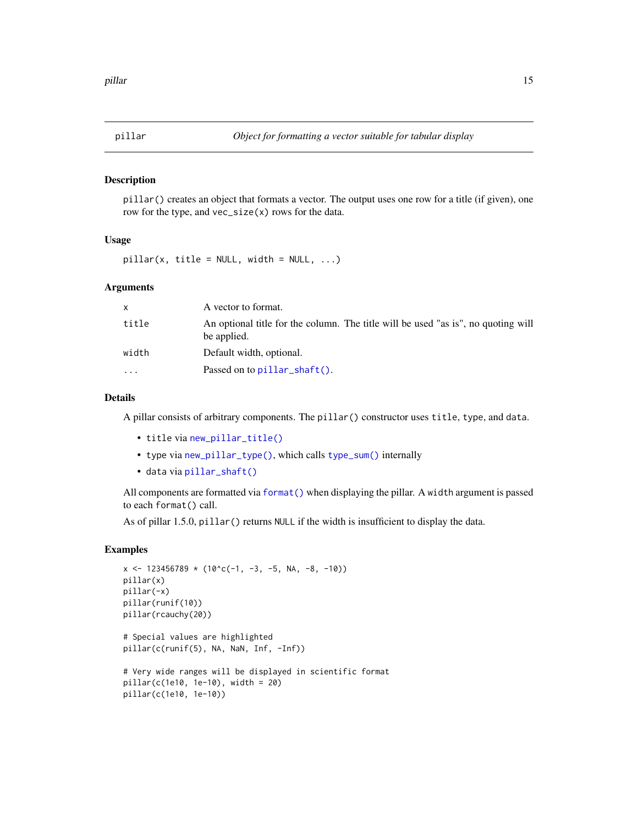<span id="page-14-1"></span><span id="page-14-0"></span>

#### Description

pillar() creates an object that formats a vector. The output uses one row for a title (if given), one row for the type, and vec\_size(x) rows for the data.

#### Usage

 $pillar(x, title = NULL, width = NULL, ...)$ 

#### Arguments

| x     | A vector to format.                                                                              |
|-------|--------------------------------------------------------------------------------------------------|
| title | An optional title for the column. The title will be used "as is", no quoting will<br>be applied. |
| width | Default width, optional.                                                                         |
| .     | Passed on to $pillar\_shaff()$ .                                                                 |

#### Details

A pillar consists of arbitrary components. The pillar() constructor uses title, type, and data.

- title via [new\\_pillar\\_title\(\)](#page-13-1)
- type via [new\\_pillar\\_type\(\)](#page-13-2), which calls [type\\_sum\(\)](#page-0-0) internally
- data via [pillar\\_shaft\(\)](#page-16-1)

All components are formatted via [format\(\)](#page-0-0) when displaying the pillar. A width argument is passed to each format() call.

As of pillar 1.5.0, pillar() returns NULL if the width is insufficient to display the data.

#### Examples

```
x \le -123456789 \times (10^{x}c(-1, -3, -5, NA, -8, -10))pillar(x)
pillar(-x)
pillar(runif(10))
pillar(rcauchy(20))
# Special values are highlighted
pillar(c(runif(5), NA, NaN, Inf, -Inf))
# Very wide ranges will be displayed in scientific format
pillar(c(1e10, 1e-10), width = 20)
pillar(c(1e10, 1e-10))
```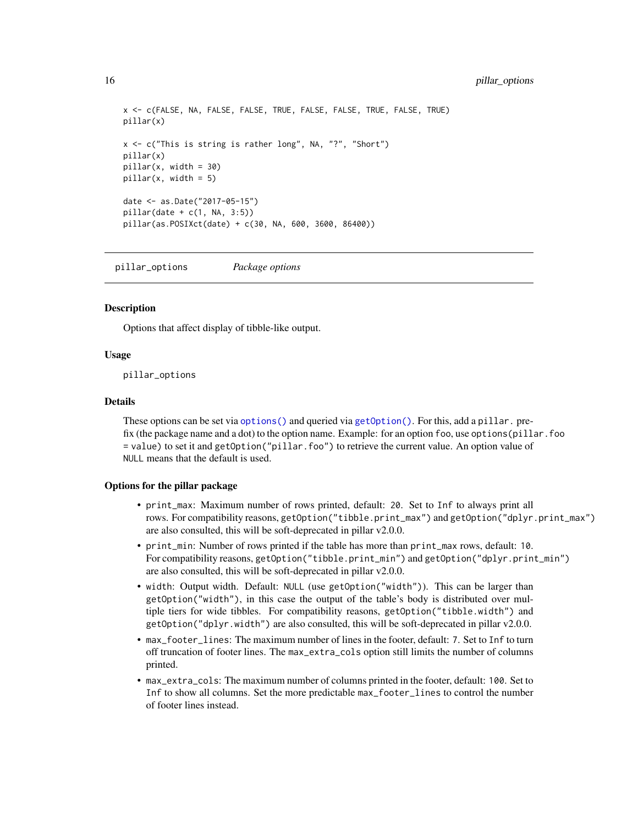```
x <- c(FALSE, NA, FALSE, FALSE, TRUE, FALSE, FALSE, TRUE, FALSE, TRUE)
pillar(x)
x <- c("This is string is rather long", NA, "?", "Short")
pillar(x)
pillar(x, width = 30)
pillar(x, width = 5)date <- as.Date("2017-05-15")
pillar(data + c(1, NA, 3:5))pillar(as.POSIXct(date) + c(30, NA, 600, 3600, 86400))
```
<span id="page-15-1"></span>pillar\_options *Package options*

#### **Description**

Options that affect display of tibble-like output.

#### Usage

pillar\_options

#### Details

These options can be set via [options\(\)](#page-0-0) and queried via [getOption\(\)](#page-0-0). For this, add a pillar. prefix (the package name and a dot) to the option name. Example: for an option foo, use options(pillar.foo = value) to set it and getOption("pillar.foo") to retrieve the current value. An option value of NULL means that the default is used.

#### Options for the pillar package

- print\_max: Maximum number of rows printed, default: 20. Set to Inf to always print all rows. For compatibility reasons, getOption("tibble.print\_max") and getOption("dplyr.print\_max") are also consulted, this will be soft-deprecated in pillar v2.0.0.
- print\_min: Number of rows printed if the table has more than print\_max rows, default: 10. For compatibility reasons, getOption("tibble.print\_min") and getOption("dplyr.print\_min") are also consulted, this will be soft-deprecated in pillar v2.0.0.
- width: Output width. Default: NULL (use getOption("width")). This can be larger than getOption("width"), in this case the output of the table's body is distributed over multiple tiers for wide tibbles. For compatibility reasons, getOption("tibble.width") and getOption("dplyr.width") are also consulted, this will be soft-deprecated in pillar v2.0.0.
- max\_footer\_lines: The maximum number of lines in the footer, default: 7. Set to Inf to turn off truncation of footer lines. The max\_extra\_cols option still limits the number of columns printed.
- max\_extra\_cols: The maximum number of columns printed in the footer, default: 100. Set to Inf to show all columns. Set the more predictable max\_footer\_lines to control the number of footer lines instead.

<span id="page-15-0"></span>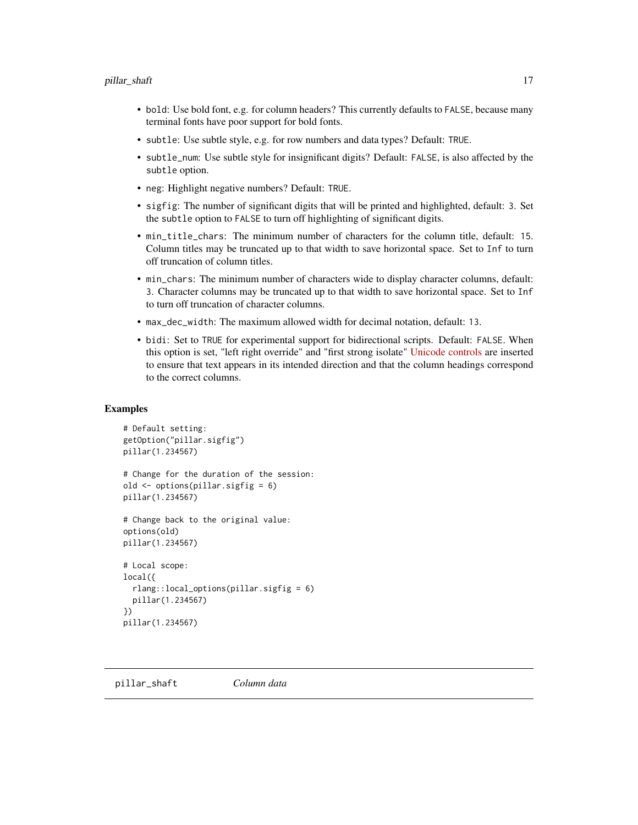- <span id="page-16-0"></span>• bold: Use bold font, e.g. for column headers? This currently defaults to FALSE, because many terminal fonts have poor support for bold fonts.
- subtle: Use subtle style, e.g. for row numbers and data types? Default: TRUE.
- subtle\_num: Use subtle style for insignificant digits? Default: FALSE, is also affected by the subtle option.
- neg: Highlight negative numbers? Default: TRUE.
- sigfig: The number of significant digits that will be printed and highlighted, default: 3. Set the subtle option to FALSE to turn off highlighting of significant digits.
- min\_title\_chars: The minimum number of characters for the column title, default: 15. Column titles may be truncated up to that width to save horizontal space. Set to Inf to turn off truncation of column titles.
- min\_chars: The minimum number of characters wide to display character columns, default: 3. Character columns may be truncated up to that width to save horizontal space. Set to Inf to turn off truncation of character columns.
- max\_dec\_width: The maximum allowed width for decimal notation, default: 13.
- bidi: Set to TRUE for experimental support for bidirectional scripts. Default: FALSE. When this option is set, "left right override" and "first strong isolate" [Unicode controls](https://www.w3.org/International/questions/qa-bidi-unicode-controls) are inserted to ensure that text appears in its intended direction and that the column headings correspond to the correct columns.

#### Examples

```
# Default setting:
getOption("pillar.sigfig")
pillar(1.234567)
# Change for the duration of the session:
old <- options(pillar.sigfig = 6)
pillar(1.234567)
# Change back to the original value:
options(old)
pillar(1.234567)
# Local scope:
local({
 rlang::local_options(pillar.sigfig = 6)
 pillar(1.234567)
})
pillar(1.234567)
```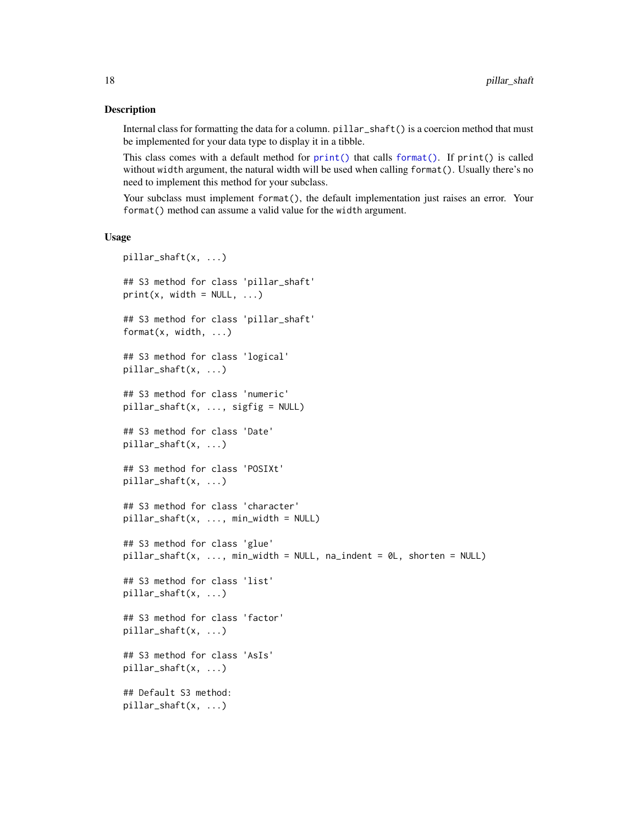#### **Description**

Internal class for formatting the data for a column. pillar\_shaft() is a coercion method that must be implemented for your data type to display it in a tibble.

This class comes with a default method for  $print()$  that calls format $()$ . If  $print()$  is called without width argument, the natural width will be used when calling format(). Usually there's no need to implement this method for your subclass.

Your subclass must implement format(), the default implementation just raises an error. Your format() method can assume a valid value for the width argument.

#### Usage

```
pillar_shaft(x, ...)
## S3 method for class 'pillar_shaft'
print(x, width = NULL, ...)## S3 method for class 'pillar_shaft'
format(x, width, ...)
## S3 method for class 'logical'
pillar_shaft(x, ...)
## S3 method for class 'numeric'
pillar_shaft(x, ..., sigfig = NULL)
## S3 method for class 'Date'
pillar_shaft(x, ...)
## S3 method for class 'POSIXt'
pillar_shaft(x, ...)
## S3 method for class 'character'
pillar_shat(x, ..., min_width = NULL)## S3 method for class 'glue'
pillar_shaft(x, ..., min_width = NULL, na_indent = 0L, shorten = NULL)
## S3 method for class 'list'
pillar_shaft(x, ...)
## S3 method for class 'factor'
pillar_shaft(x, ...)
## S3 method for class 'AsIs'
pillar_shaft(x, ...)
## Default S3 method:
pillar_shaft(x, ...)
```
<span id="page-17-0"></span>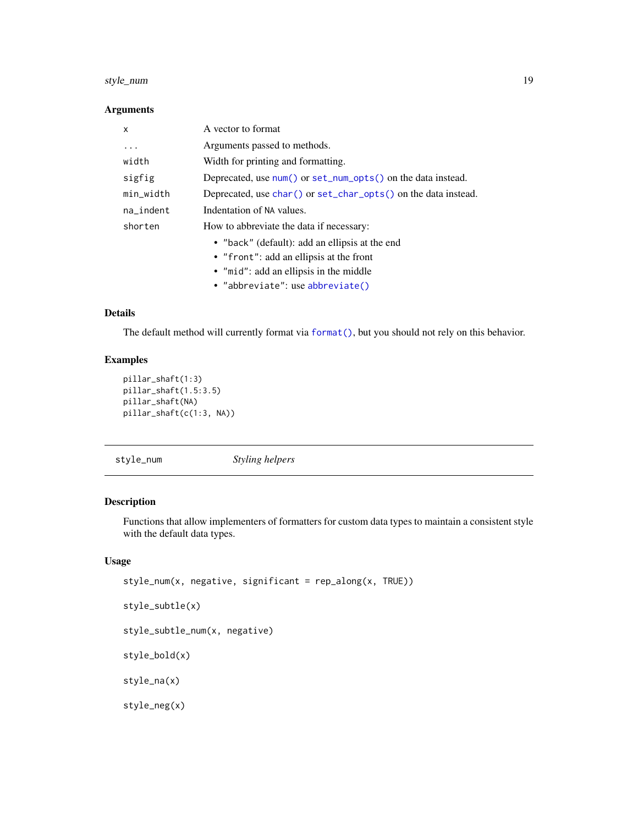#### <span id="page-18-0"></span>style\_num 19

#### Arguments

| X            | A vector to format                                                    |
|--------------|-----------------------------------------------------------------------|
| .            | Arguments passed to methods.                                          |
| width        | Width for printing and formatting.                                    |
| sigfig       | Deprecated, use num() or set_num_opts() on the data instead.          |
| min_width    | Deprecated, use $char()$ or $set_{char\_opts()}$ on the data instead. |
| $na$ _indent | Indentation of NA values.                                             |
| shorten      | How to abbreviate the data if necessary:                              |
|              | • "back" (default): add an ellipsis at the end                        |
|              | • "front": add an ellipsis at the front                               |
|              | • "mid": add an ellipsis in the middle                                |
|              | • "abbreviate": use abbreviate()                                      |

#### Details

The default method will currently format via format $()$ , but you should not rely on this behavior.

### Examples

```
pillar_shaft(1:3)
pillar_shaft(1.5:3.5)
pillar_shaft(NA)
pillar_shaft(c(1:3, NA))
```
style\_num *Styling helpers*

#### <span id="page-18-1"></span>Description

Functions that allow implementers of formatters for custom data types to maintain a consistent style with the default data types.

#### Usage

```
style_num(x, negative, significant = rep_along(x, TRUE))
```

```
style_subtle(x)
```
style\_subtle\_num(x, negative)

style\_bold(x)

style\_na(x)

style\_neg(x)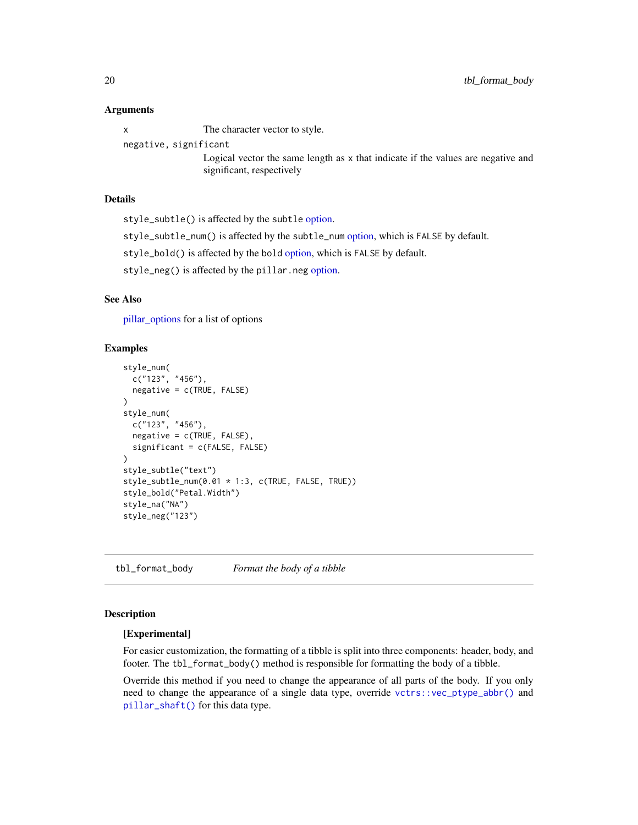#### <span id="page-19-0"></span>Arguments

x The character vector to style.

negative, significant

Logical vector the same length as x that indicate if the values are negative and significant, respectively

#### Details

style\_subtle() is affected by the subtle [option.](#page-15-1)

style\_subtle\_num() is affected by the subtle\_num [option,](#page-15-1) which is FALSE by default.

style\_bold() is affected by the bold [option,](#page-15-1) which is FALSE by default.

style\_neg() is affected by the pillar.neg [option.](#page-15-1)

#### See Also

[pillar\\_options](#page-15-1) for a list of options

#### Examples

```
style_num(
  c("123", "456"),
  negative = c(TRUE, FALSE)
)
style_num(
  c("123", "456"),
  negative = c(TRUE, FALSE),
  significant = c(FALSE, FALSE)
)
style_subtle("text")
style_subtle_num(0.01 * 1:3, c(TRUE, FALSE, TRUE))
style_bold("Petal.Width")
style_na("NA")
style_neg("123")
```
<span id="page-19-1"></span>tbl\_format\_body *Format the body of a tibble*

#### **Description**

#### [Experimental]

For easier customization, the formatting of a tibble is split into three components: header, body, and footer. The tbl\_format\_body() method is responsible for formatting the body of a tibble.

Override this method if you need to change the appearance of all parts of the body. If you only need to change the appearance of a single data type, override [vctrs::vec\\_ptype\\_abbr\(\)](#page-0-0) and [pillar\\_shaft\(\)](#page-16-1) for this data type.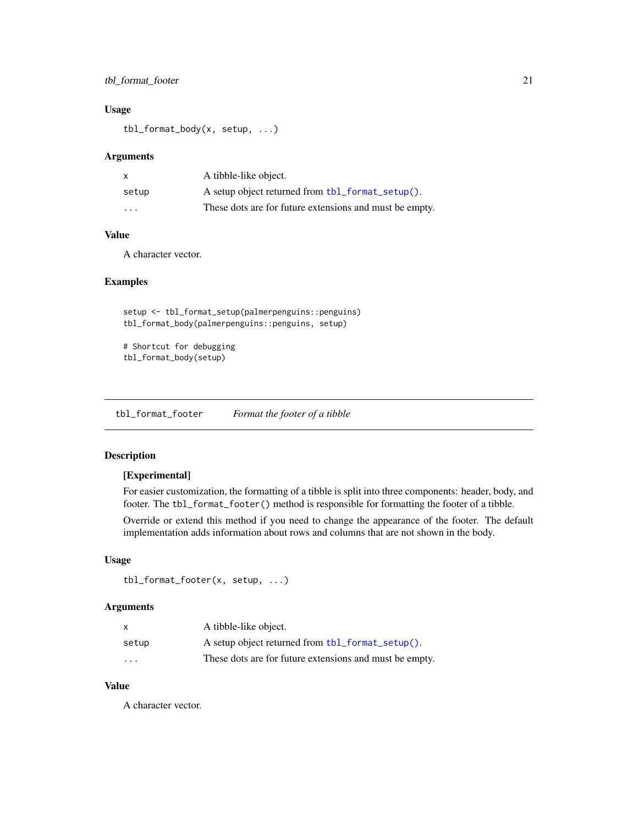#### <span id="page-20-0"></span>tbl\_format\_footer 21

#### Usage

tbl\_format\_body(x, setup, ...)

#### Arguments

| x                       | A tibble-like object.                                   |
|-------------------------|---------------------------------------------------------|
| setup                   | A setup object returned from tbl_format_setup().        |
| $\cdot$ $\cdot$ $\cdot$ | These dots are for future extensions and must be empty. |

#### Value

A character vector.

#### Examples

setup <- tbl\_format\_setup(palmerpenguins::penguins) tbl\_format\_body(palmerpenguins::penguins, setup)

```
# Shortcut for debugging
tbl_format_body(setup)
```
<span id="page-20-1"></span>tbl\_format\_footer *Format the footer of a tibble*

#### Description

#### [Experimental]

For easier customization, the formatting of a tibble is split into three components: header, body, and footer. The tbl\_format\_footer() method is responsible for formatting the footer of a tibble. Override or extend this method if you need to change the appearance of the footer. The default implementation adds information about rows and columns that are not shown in the body.

#### Usage

```
tbl_format_footer(x, setup, ...)
```
#### Arguments

|                         | A tibble-like object.                                   |
|-------------------------|---------------------------------------------------------|
| setup                   | A setup object returned from tbl_format_setup().        |
| $\cdot$ $\cdot$ $\cdot$ | These dots are for future extensions and must be empty. |

#### Value

A character vector.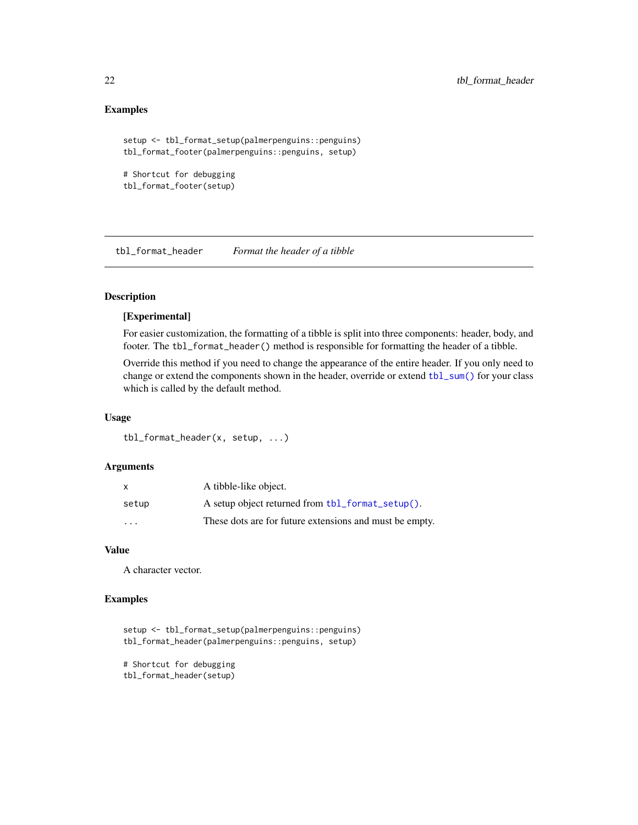#### Examples

```
setup <- tbl_format_setup(palmerpenguins::penguins)
tbl_format_footer(palmerpenguins::penguins, setup)
```

```
# Shortcut for debugging
tbl_format_footer(setup)
```
<span id="page-21-1"></span>tbl\_format\_header *Format the header of a tibble*

#### Description

#### [Experimental]

For easier customization, the formatting of a tibble is split into three components: header, body, and footer. The tbl\_format\_header() method is responsible for formatting the header of a tibble.

Override this method if you need to change the appearance of the entire header. If you only need to change or extend the components shown in the header, override or extend [tbl\\_sum\(\)](#page-23-1) for your class which is called by the default method.

#### Usage

tbl\_format\_header(x, setup, ...)

#### Arguments

|                         | A tibble-like object.                                   |
|-------------------------|---------------------------------------------------------|
| setup                   | A setup object returned from tbl_format_setup().        |
| $\cdot$ $\cdot$ $\cdot$ | These dots are for future extensions and must be empty. |

#### Value

A character vector.

#### Examples

```
setup <- tbl_format_setup(palmerpenguins::penguins)
tbl_format_header(palmerpenguins::penguins, setup)
```
# Shortcut for debugging tbl\_format\_header(setup)

<span id="page-21-0"></span>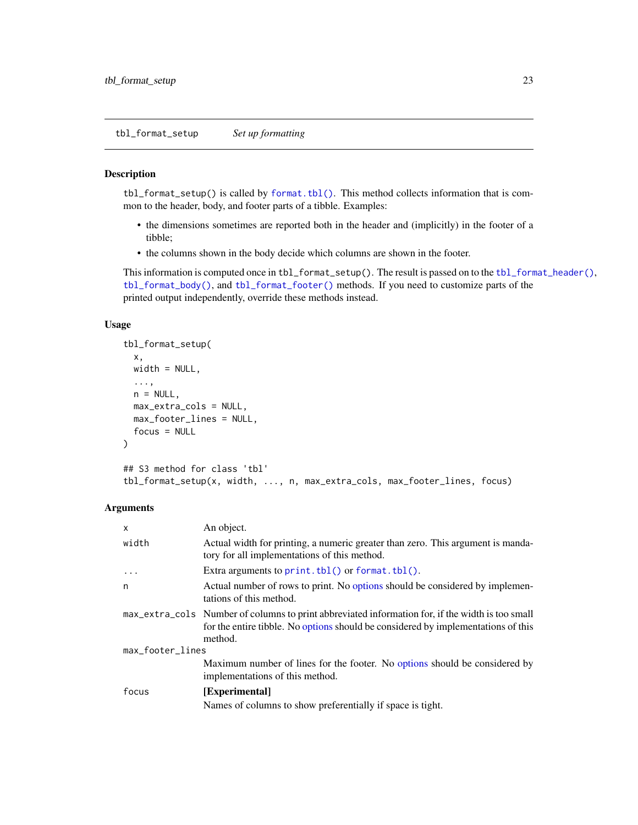<span id="page-22-1"></span><span id="page-22-0"></span>tbl\_format\_setup *Set up formatting*

#### Description

tbl\_format\_setup() is called by [format.tbl\(\)](#page-0-0). This method collects information that is common to the header, body, and footer parts of a tibble. Examples:

- the dimensions sometimes are reported both in the header and (implicitly) in the footer of a tibble;
- the columns shown in the body decide which columns are shown in the footer.

This information is computed once in tbl\_format\_setup(). The result is passed on to the [tbl\\_format\\_header\(\)](#page-21-1), [tbl\\_format\\_body\(\)](#page-19-1), and [tbl\\_format\\_footer\(\)](#page-20-1) methods. If you need to customize parts of the printed output independently, override these methods instead.

#### Usage

```
tbl_format_setup(
  x,
 width = NULL,
  ...,
 n = NULL,max_extra_cols = NULL,
 max_footer_lines = NULL,
  focus = NULL
)
## S3 method for class 'tbl'
tbl_format_setup(x, width, ..., n, max_extra_cols, max_footer_lines, focus)
```

| $\mathsf{x}$     | An object.                                                                                                                                                                                       |  |
|------------------|--------------------------------------------------------------------------------------------------------------------------------------------------------------------------------------------------|--|
| width            | Actual width for printing, a numeric greater than zero. This argument is manda-<br>tory for all implementations of this method.                                                                  |  |
| $\ddots$         | Extra arguments to $print.\text{th}($ or $format.\text{th}($ .                                                                                                                                   |  |
| n                | Actual number of rows to print. No options should be considered by implemen-<br>tations of this method.                                                                                          |  |
|                  | max_extra_cols Number of columns to print abbreviated information for, if the width is too small<br>for the entire tibble. No options should be considered by implementations of this<br>method. |  |
| max_footer_lines |                                                                                                                                                                                                  |  |
|                  | Maximum number of lines for the footer. No options should be considered by<br>implementations of this method.                                                                                    |  |
| focus            | [Experimental]                                                                                                                                                                                   |  |
|                  | Names of columns to show preferentially if space is tight.                                                                                                                                       |  |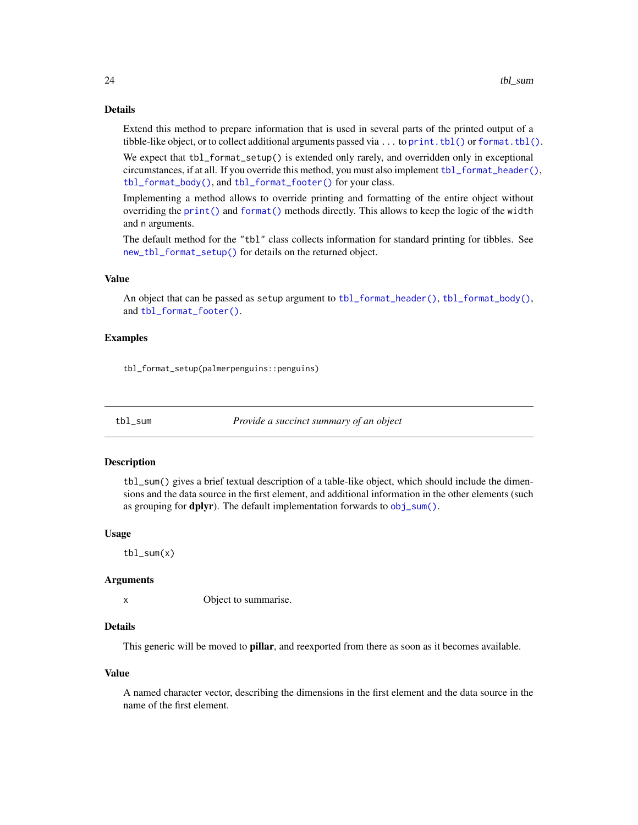#### Details

Extend this method to prepare information that is used in several parts of the printed output of a tibble-like object, or to collect additional arguments passed via  $\dots$  to print. tbl() or format. tbl().

We expect that tbl\_format\_setup() is extended only rarely, and overridden only in exceptional circumstances, if at all. If you override this method, you must also implement [tbl\\_format\\_header\(\)](#page-21-1), [tbl\\_format\\_body\(\)](#page-19-1), and [tbl\\_format\\_footer\(\)](#page-20-1) for your class.

Implementing a method allows to override printing and formatting of the entire object without overriding the [print\(\)](#page-0-0) and [format\(\)](#page-0-0) methods directly. This allows to keep the logic of the width and n arguments.

The default method for the "tbl" class collects information for standard printing for tibbles. See [new\\_tbl\\_format\\_setup\(\)](#page-0-0) for details on the returned object.

#### Value

An object that can be passed as setup argument to [tbl\\_format\\_header\(\)](#page-21-1), [tbl\\_format\\_body\(\)](#page-19-1), and [tbl\\_format\\_footer\(\)](#page-20-1).

#### Examples

tbl\_format\_setup(palmerpenguins::penguins)

<span id="page-23-1"></span>tbl\_sum *Provide a succinct summary of an object*

#### Description

tbl\_sum() gives a brief textual description of a table-like object, which should include the dimensions and the data source in the first element, and additional information in the other elements (such as grouping for **dplyr**). The default implementation forwards to [obj\\_sum\(\)](#page-0-0).

#### Usage

tbl\_sum(x)

#### **Arguments**

x Object to summarise.

#### Details

This generic will be moved to **pillar**, and reexported from there as soon as it becomes available.

#### Value

A named character vector, describing the dimensions in the first element and the data source in the name of the first element.

<span id="page-23-0"></span>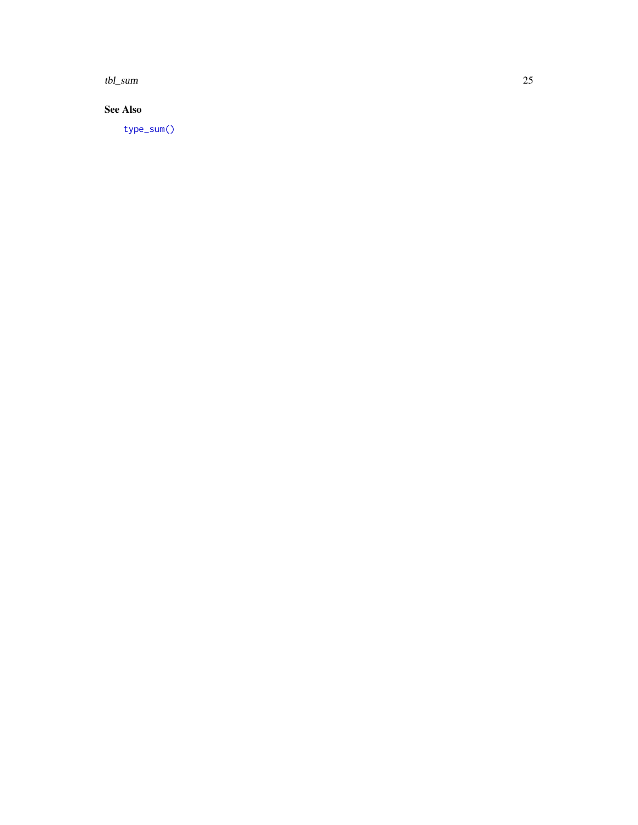<span id="page-24-0"></span>tbl\_sum 25

#### See Also

[type\\_sum\(\)](#page-0-0)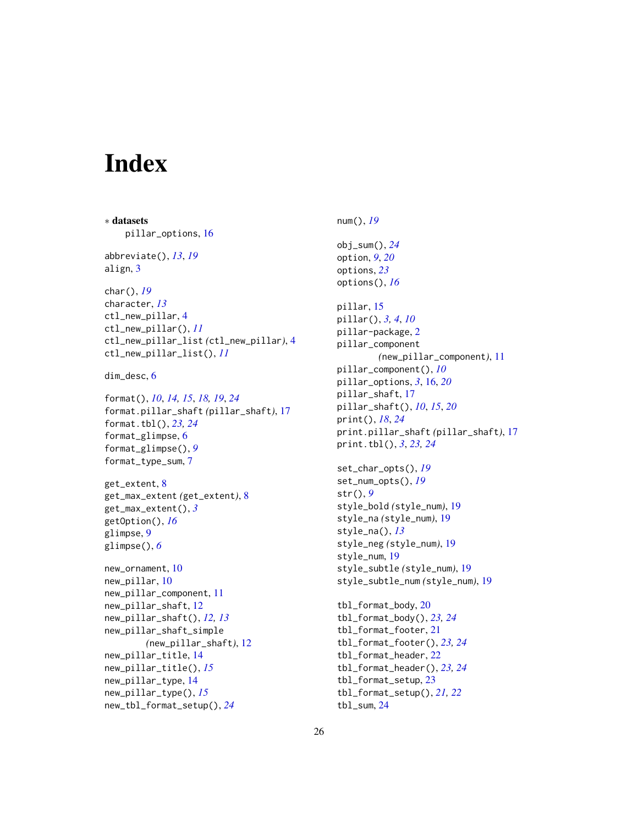# <span id="page-25-0"></span>**Index**

∗ datasets pillar\_options, [16](#page-15-0) abbreviate(), *[13](#page-12-0)*, *[19](#page-18-0)* align, [3](#page-2-0) char(), *[19](#page-18-0)* character, *[13](#page-12-0)* ctl\_new\_pillar, [4](#page-3-0) ctl\_new\_pillar(), *[11](#page-10-0)* ctl\_new\_pillar\_list *(*ctl\_new\_pillar*)*, [4](#page-3-0) ctl\_new\_pillar\_list(), *[11](#page-10-0)* dim\_desc, [6](#page-5-0) format(), *[10](#page-9-0)*, *[14,](#page-13-0) [15](#page-14-0)*, *[18,](#page-17-0) [19](#page-18-0)*, *[24](#page-23-0)* format.pillar\_shaft *(*pillar\_shaft*)*, [17](#page-16-0) format.tbl(), *[23,](#page-22-0) [24](#page-23-0)* format\_glimpse, [6](#page-5-0) format\_glimpse(), *[9](#page-8-0)* format\_type\_sum, [7](#page-6-0) get\_extent, [8](#page-7-0) get\_max\_extent *(*get\_extent*)*, [8](#page-7-0) get\_max\_extent(), *[3](#page-2-0)* getOption(), *[16](#page-15-0)* glimpse, [9](#page-8-0) glimpse(), *[6](#page-5-0)* new\_ornament, [10](#page-9-0) new\_pillar, [10](#page-9-0) new\_pillar\_component, [11](#page-10-0) new\_pillar\_shaft, [12](#page-11-0) new\_pillar\_shaft(), *[12,](#page-11-0) [13](#page-12-0)* new\_pillar\_shaft\_simple *(*new\_pillar\_shaft*)*, [12](#page-11-0) new\_pillar\_title, [14](#page-13-0) new\_pillar\_title(), *[15](#page-14-0)* new\_pillar\_type, [14](#page-13-0) new\_pillar\_type(), *[15](#page-14-0)* new\_tbl\_format\_setup(), *[24](#page-23-0)*

num(), *[19](#page-18-0)* obj\_sum(), *[24](#page-23-0)* option, *[9](#page-8-0)*, *[20](#page-19-0)* options, *[23](#page-22-0)* options(), *[16](#page-15-0)* pillar, [15](#page-14-0) pillar(), *[3,](#page-2-0) [4](#page-3-0)*, *[10](#page-9-0)* pillar-package, [2](#page-1-0) pillar\_component *(*new\_pillar\_component*)*, [11](#page-10-0) pillar\_component(), *[10](#page-9-0)* pillar\_options, *[3](#page-2-0)*, [16,](#page-15-0) *[20](#page-19-0)* pillar\_shaft, [17](#page-16-0) pillar\_shaft(), *[10](#page-9-0)*, *[15](#page-14-0)*, *[20](#page-19-0)* print(), *[18](#page-17-0)*, *[24](#page-23-0)* print.pillar\_shaft *(*pillar\_shaft*)*, [17](#page-16-0) print.tbl(), *[3](#page-2-0)*, *[23,](#page-22-0) [24](#page-23-0)* set\_char\_opts(), *[19](#page-18-0)* set\_num\_opts(), *[19](#page-18-0)* str(), *[9](#page-8-0)* style\_bold *(*style\_num*)*, [19](#page-18-0) style\_na *(*style\_num*)*, [19](#page-18-0) style\_na(), *[13](#page-12-0)* style\_neg *(*style\_num*)*, [19](#page-18-0) style\_num, [19](#page-18-0) style\_subtle *(*style\_num*)*, [19](#page-18-0) style\_subtle\_num *(*style\_num*)*, [19](#page-18-0) tbl\_format\_body, [20](#page-19-0) tbl\_format\_body(), *[23,](#page-22-0) [24](#page-23-0)* tbl\_format\_footer, [21](#page-20-0) tbl\_format\_footer(), *[23,](#page-22-0) [24](#page-23-0)* tbl\_format\_header, [22](#page-21-0) tbl\_format\_header(), *[23,](#page-22-0) [24](#page-23-0)* tbl\_format\_setup, [23](#page-22-0) tbl\_format\_setup(), *[21,](#page-20-0) [22](#page-21-0)* tbl\_sum, [24](#page-23-0)